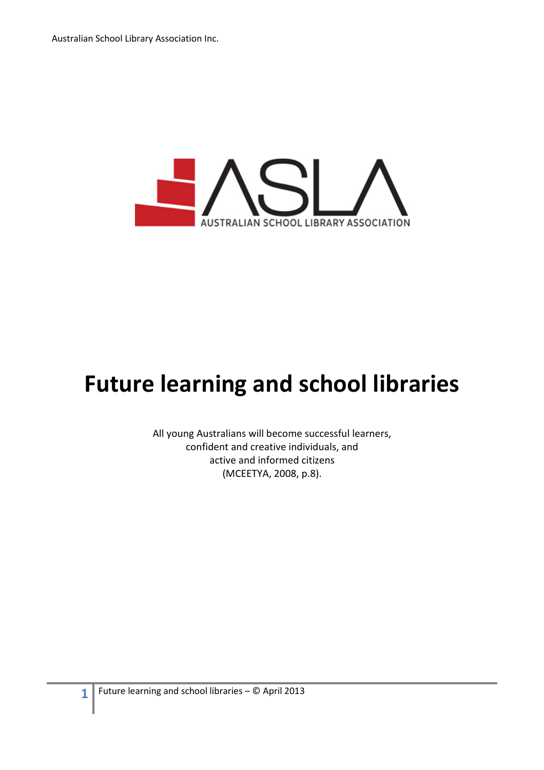

# Future learning and school libraries

All young Australians will become successful learners, confident and creative individuals, and active and informed citizens (MCEETYA, 2008, p.8).

1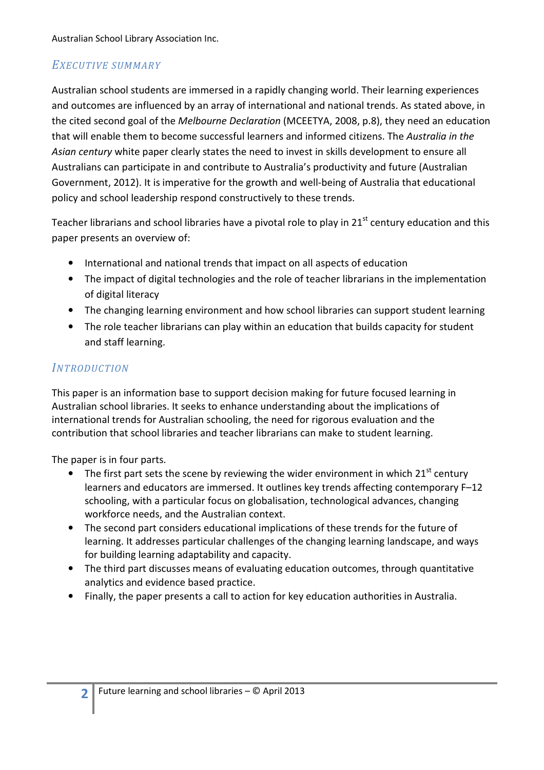# EXECUTIVE SUMMARY

Australian school students are immersed in a rapidly changing world. Their learning experiences and outcomes are influenced by an array of international and national trends. As stated above, in the cited second goal of the Melbourne Declaration (MCEETYA, 2008, p.8), they need an education that will enable them to become successful learners and informed citizens. The Australia in the Asian century white paper clearly states the need to invest in skills development to ensure all Australians can participate in and contribute to Australia's productivity and future (Australian Government, 2012). It is imperative for the growth and well-being of Australia that educational policy and school leadership respond constructively to these trends.

Teacher librarians and school libraries have a pivotal role to play in 21<sup>st</sup> century education and this paper presents an overview of:

- International and national trends that impact on all aspects of education
- The impact of digital technologies and the role of teacher librarians in the implementation of digital literacy
- The changing learning environment and how school libraries can support student learning
- The role teacher librarians can play within an education that builds capacity for student and staff learning.

# **INTRODUCTION**

This paper is an information base to support decision making for future focused learning in Australian school libraries. It seeks to enhance understanding about the implications of international trends for Australian schooling, the need for rigorous evaluation and the contribution that school libraries and teacher librarians can make to student learning.

The paper is in four parts.

- The first part sets the scene by reviewing the wider environment in which  $21<sup>st</sup>$  century learners and educators are immersed. It outlines key trends affecting contemporary F–12 schooling, with a particular focus on globalisation, technological advances, changing workforce needs, and the Australian context.
- The second part considers educational implications of these trends for the future of learning. It addresses particular challenges of the changing learning landscape, and ways for building learning adaptability and capacity.
- The third part discusses means of evaluating education outcomes, through quantitative analytics and evidence based practice.
- Finally, the paper presents a call to action for key education authorities in Australia.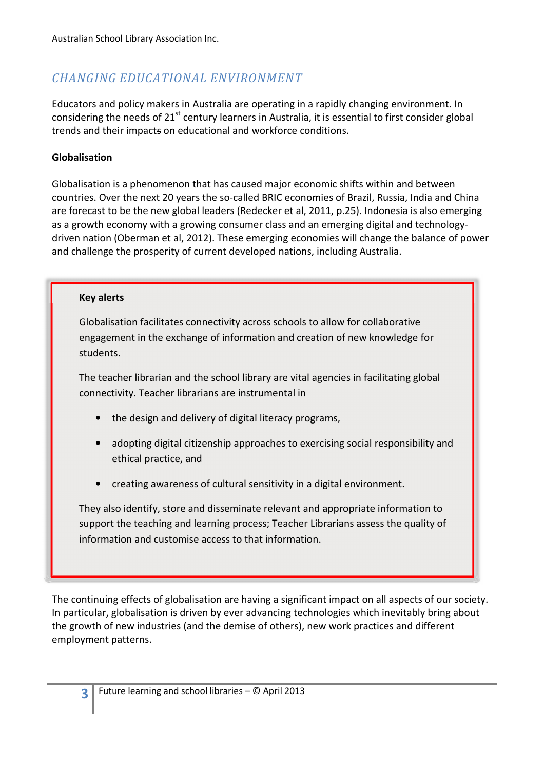# CHANGING EDUCATIONAL ENVIRONMENT

Educators and policy makers in Australia are operating in a rapidly changing environment. In considering the needs of 21<sup>st</sup> century learners in Australia, it is essential to first consider global trends and their impacts on educational and workforce conditions.

# Globalisation

Globalisation is a phenomenon that has caused major economic shifts within and between countries. Over the next 20 years the so-called BRIC economies of Brazil, Russia, India and China are forecast to be the new global leaders (Redecker et al, 2011, p.25). Indonesia is also emerging as a growth economy with a growing consumer class and an emerging digital and technologydriven nation (Oberman et al, 2012). These emerging economies will change the balance of power and challenge the prosperity of current developed nations, including Australia.

#### Key alerts

Globalisation facilitates connectivity across schools to allow for collaborative engagement in the exchange of information and creation of new knowledge for students.

The teacher librarian and the school library are vital agencies in facilitating global connectivity. Teacher librarians are instrumental in

- the design and delivery of digital literacy programs,
- adopting digital citizenship approaches to exercising social responsibility and ethical practice, and
- creating awareness of cultural sensitivity in a digital environment.

They also identify, store and disseminate relevant and appropriate information to support the teaching and learning process; Teacher Librarians assess the quality of information and customise access to that information.

The continuing effects of globalisation are having a significant impact on all aspects of our society. In particular, globalisation is driven by ever advancing technologies which inevitably bring about the growth of new industries (and the demise of others), new work practices and different employment patterns.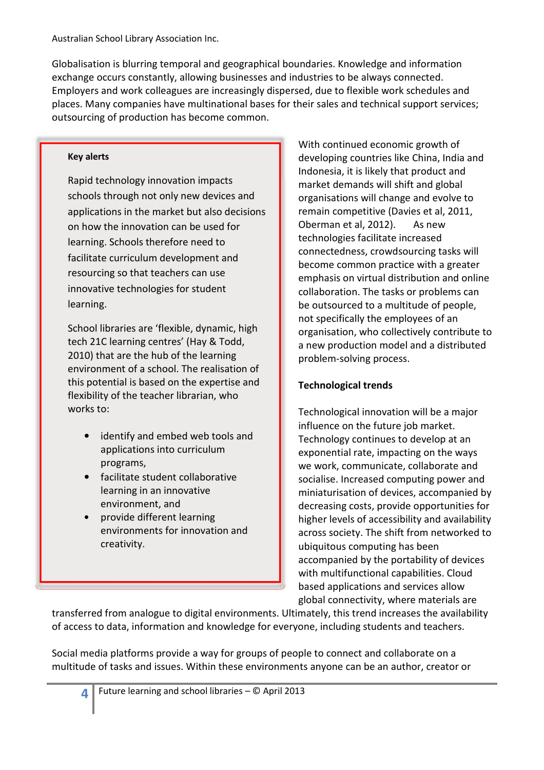Globalisation is blurring temporal and geographical boundaries. Knowledge and information exchange occurs constantly, allowing businesses and industries to be always connected. Employers and work colleagues are increasingly dispersed, due to flexible work schedules and places. Many companies have multinational bases for their sales and technical support services; outsourcing of production has become common.

#### Key alerts

Rapid technology innovation impacts schools through not only new devices and applications in the market but also decisions on how the innovation can be used for learning. Schools therefore need to facilitate curriculum development and resourcing so that teachers can use innovative technologies for student learning.

School libraries are 'flexible, dynamic, high tech 21C learning centres' (Hay & Todd, 2010) that are the hub of the learning environment of a school. The realisation of this potential is based on the expertise and flexibility of the teacher librarian, who works to:

- identify and embed web tools and applications into curriculum programs,
- facilitate student collaborative learning in an innovative environment, and
- provide different learning environments for innovation and creativity.

With continued economic growth of developing countries like China, India and Indonesia, it is likely that product and market demands will shift and global organisations will change and evolve to remain competitive (Davies et al, 2011, Oberman et al, 2012). As new technologies facilitate increased connectedness, crowdsourcing tasks will become common practice with a greater emphasis on virtual distribution and online collaboration. The tasks or problems can be outsourced to a multitude of people, not specifically the employees of an organisation, who collectively contribute to a new production model and a distributed problem-solving process.

# Technological trends

Technological innovation will be a major influence on the future job market. Technology continues to develop at an exponential rate, impacting on the ways we work, communicate, collaborate and socialise. Increased computing power and miniaturisation of devices, accompanied by decreasing costs, provide opportunities for higher levels of accessibility and availability across society. The shift from networked to ubiquitous computing has been accompanied by the portability of devices with multifunctional capabilities. Cloud based applications and services allow global connectivity, where materials are

transferred from analogue to digital environments. Ultimately, this trend increases the availability of access to data, information and knowledge for everyone, including students and teachers.

Social media platforms provide a way for groups of people to connect and collaborate on a multitude of tasks and issues. Within these environments anyone can be an author, creator or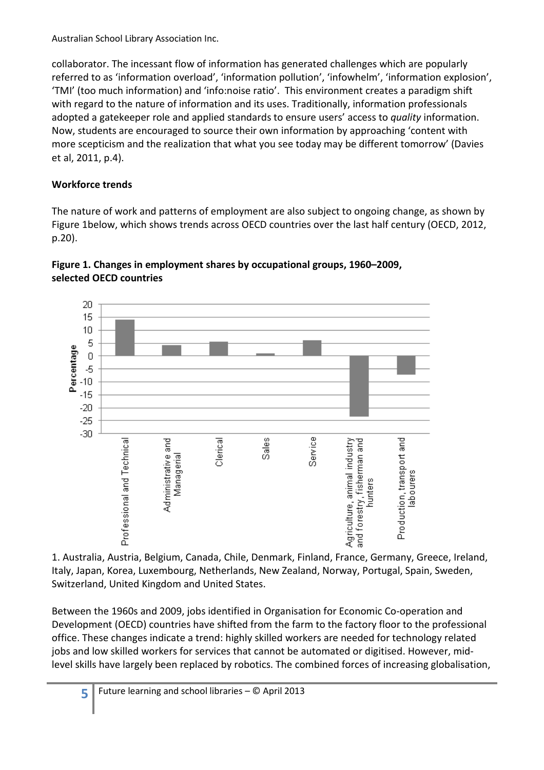collaborator. The incessant flow of information has generated challenges which are popularly referred to as 'information overload', 'information pollution', 'infowhelm', 'information explosion', 'TMI' (too much information) and 'info:noise ratio'. This environment creates a paradigm shift with regard to the nature of information and its uses. Traditionally, information professionals adopted a gatekeeper role and applied standards to ensure users' access to quality information. Now, students are encouraged to source their own information by approaching 'content with more scepticism and the realization that what you see today may be different tomorrow' (Davies et al, 2011, p.4).

# Workforce trends

5

The nature of work and patterns of employment are also subject to ongoing change, as shown by Figure 1below, which shows trends across OECD countries over the last half century (OECD, 2012, p.20).





1. Australia, Austria, Belgium, Canada, Chile, Denmark, Finland, France, Germany, Greece, Ireland, Italy, Japan, Korea, Luxembourg, Netherlands, New Zealand, Norway, Portugal, Spain, Sweden, Switzerland, United Kingdom and United States.

Between the 1960s and 2009, jobs identified in Organisation for Economic Co-operation and Development (OECD) countries have shifted from the farm to the factory floor to the professional office. These changes indicate a trend: highly skilled workers are needed for technology related jobs and low skilled workers for services that cannot be automated or digitised. However, midlevel skills have largely been replaced by robotics. The combined forces of increasing globalisation,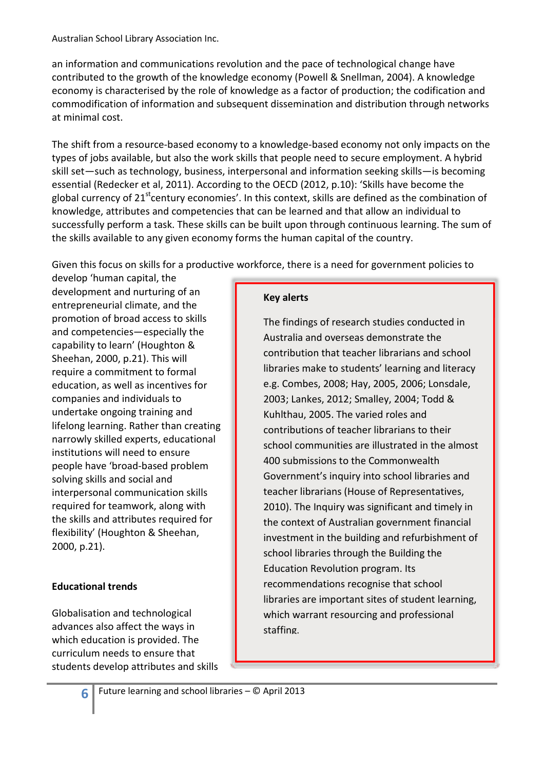an information and communications revolution and the pace of technological change have contributed to the growth of the knowledge economy (Powell & Snellman, 2004). A knowledge economy is characterised by the role of knowledge as a factor of production; the codification and commodification of information and subsequent dissemination and distribution through networks at minimal cost.

The shift from a resource-based economy to a knowledge-based economy not only impacts on the types of jobs available, but also the work skills that people need to secure employment. A hybrid skill set—such as technology, business, interpersonal and information seeking skills—is becoming essential (Redecker et al, 2011). According to the OECD (2012, p.10): 'Skills have become the global currency of  $21^{st}$ century economies'. In this context, skills are defined as the combination of knowledge, attributes and competencies that can be learned and that allow an individual to successfully perform a task. These skills can be built upon through continuous learning. The sum of the skills available to any given economy forms the human capital of the country.

Given this focus on skills for a productive workforce, there is a need for government policies to

develop 'human capital, the development and nurturing of an entrepreneurial climate, and the promotion of broad access to skills and competencies―especially the capability to learn' (Houghton & Sheehan, 2000, p.21). This will require a commitment to formal education, as well as incentives for companies and individuals to undertake ongoing training and lifelong learning. Rather than creating narrowly skilled experts, educational institutions will need to ensure people have 'broad-based problem solving skills and social and interpersonal communication skills required for teamwork, along with the skills and attributes required for flexibility' (Houghton & Sheehan, 2000, p.21).

# Educational trends

Globalisation and technological advances also affect the ways in which education is provided. The curriculum needs to ensure that students develop attributes and skills

#### Key alerts

The findings of research studies conducted in Australia and overseas demonstrate the contribution that teacher librarians and school libraries make to students' learning and literacy e.g. Combes, 2008; Hay, 2005, 2006; Lonsdale, 2003; Lankes, 2012; Smalley, 2004; Todd & Kuhlthau, 2005. The varied roles and contributions of teacher librarians to their school communities are illustrated in the almost 400 submissions to the Commonwealth Government's inquiry into school libraries and teacher librarians (House of Representatives, 2010). The Inquiry was significant and timely in the context of Australian government financial investment in the building and refurbishment of school libraries through the Building the Education Revolution program. Its recommendations recognise that school libraries are important sites of student learning, which warrant resourcing and professional staffing.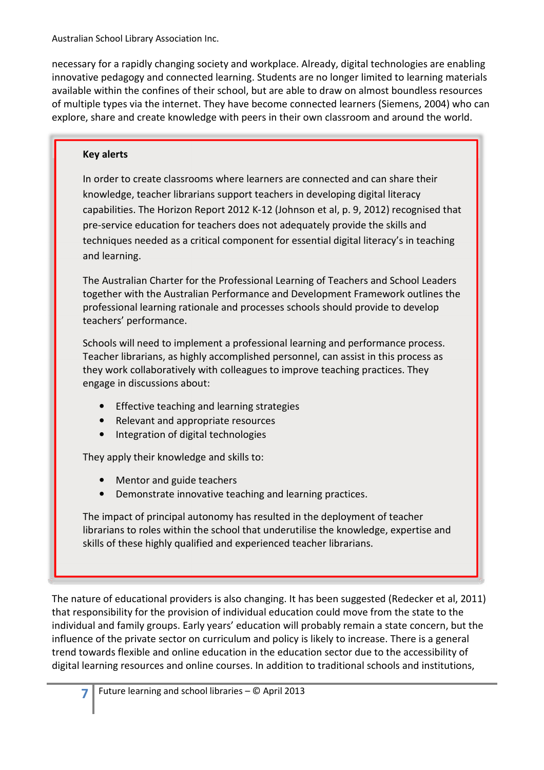necessary for a rapidly changing society and workplace. Already, digital technologies are enabling innovative pedagogy and connected learning. Students are no longer limited to learning materials available within the confines of their school, but are able to draw on almost boundless resources of multiple types via the internet. They have become connected learners (Siemens, 2004) who can explore, share and create knowledge with peers in their own classroom and around the world.

# Key alerts

In order to create classrooms where learners are connected and can share their knowledge, teacher librarians support teachers in developing digital literacy capabilities. The Horizon Report 2012 K-12 (Johnson et al, p. 9, 2012) recognised that pre-service education for teachers does not adequately provide the skills and techniques needed as a critical component for essential digital literacy's in teaching and learning.

The Australian Charter for the Professional Learning of Teachers and School Leaders together with the Australian Performance and Development Framework outlines the professional learning rationale and processes schools should provide to develop teachers' performance.

Schools will need to implement a professional learning and performance process. Teacher librarians, as highly accomplished personnel, can assist in this process as they work collaboratively with colleagues to improve teaching practices. They engage in discussions about:

- Effective teaching and learning strategies
- Relevant and appropriate resources
- Integration of digital technologies

They apply their knowledge and skills to:

- Mentor and guide teachers
- Demonstrate innovative teaching and learning practices.

The impact of principal autonomy has resulted in the deployment of teacher librarians to roles within the school that underutilise the knowledge, expertise and skills of these highly qualified and experienced teacher librarians.

The nature of educational providers is also changing. It has been suggested (Redecker et al, 2011) that responsibility for the provision of individual education could move from the state to the individual and family groups. Early years' education will probably remain a state concern, but the influence of the private sector on curriculum and policy is likely to increase. There is a general trend towards flexible and online education in the education sector due to the accessibility of digital learning resources and online courses. In addition to traditional schools and institutions,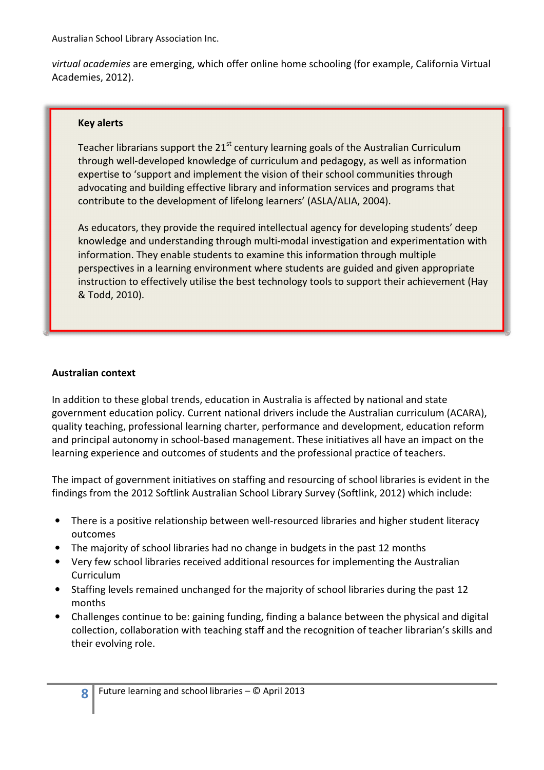virtual academies are emerging, which offer online home schooling (for example, California Virtual Academies, 2012).

#### Key alerts

Teacher librarians support the  $21<sup>st</sup>$  century learning goals of the Australian Curriculum through well-developed knowledge of curriculum and pedagogy, as well as information expertise to 'support and implement the vision of their school communities through advocating and building effective library and information services and programs that contribute to the development of lifelong learners' (ASLA/ALIA, 2004).

As educators, they provide the required intellectual agency for developing students' deep knowledge and understanding through multi-modal investigation and experimentation with information. They enable students to examine this information through multiple perspectives in a learning environment where students are guided and given appropriate instruction to effectively utilise the best technology tools to support their achievement (Hay & Todd, 2010).

#### Australian context

8

In addition to these global trends, education in Australia is affected by national and state government education policy. Current national drivers include the Australian curriculum (ACARA), quality teaching, professional learning charter, performance and development, education reform and principal autonomy in school-based management. These initiatives all have an impact on the learning experience and outcomes of students and the professional practice of teachers.

The impact of government initiatives on staffing and resourcing of school libraries is evident in the findings from the 2012 Softlink Australian School Library Survey (Softlink, 2012) which include:

- There is a positive relationship between well-resourced libraries and higher student literacy outcomes
- The majority of school libraries had no change in budgets in the past 12 months
- Very few school libraries received additional resources for implementing the Australian Curriculum
- Staffing levels remained unchanged for the majority of school libraries during the past 12 months
- Challenges continue to be: gaining funding, finding a balance between the physical and digital collection, collaboration with teaching staff and the recognition of teacher librarian's skills and their evolving role.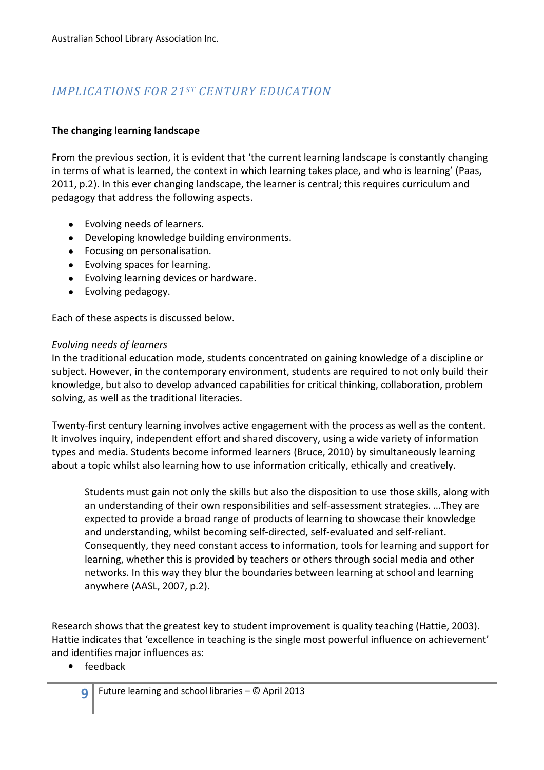# IMPLICATIONS FOR 21ST CENTURY EDUCATION

# The changing learning landscape

From the previous section, it is evident that 'the current learning landscape is constantly changing in terms of what is learned, the context in which learning takes place, and who is learning' (Paas, 2011, p.2). In this ever changing landscape, the learner is central; this requires curriculum and pedagogy that address the following aspects.

- Evolving needs of learners.
- Developing knowledge building environments.
- Focusing on personalisation.
- Evolving spaces for learning.
- Evolving learning devices or hardware.
- Evolving pedagogy.

Each of these aspects is discussed below.

#### Evolving needs of learners

In the traditional education mode, students concentrated on gaining knowledge of a discipline or subject. However, in the contemporary environment, students are required to not only build their knowledge, but also to develop advanced capabilities for critical thinking, collaboration, problem solving, as well as the traditional literacies.

Twenty-first century learning involves active engagement with the process as well as the content. It involves inquiry, independent effort and shared discovery, using a wide variety of information types and media. Students become informed learners (Bruce, 2010) by simultaneously learning about a topic whilst also learning how to use information critically, ethically and creatively.

Students must gain not only the skills but also the disposition to use those skills, along with an understanding of their own responsibilities and self-assessment strategies. …They are expected to provide a broad range of products of learning to showcase their knowledge and understanding, whilst becoming self-directed, self-evaluated and self-reliant. Consequently, they need constant access to information, tools for learning and support for learning, whether this is provided by teachers or others through social media and other networks. In this way they blur the boundaries between learning at school and learning anywhere (AASL, 2007, p.2).

Research shows that the greatest key to student improvement is quality teaching (Hattie, 2003). Hattie indicates that 'excellence in teaching is the single most powerful influence on achievement' and identifies major influences as:

• feedback

9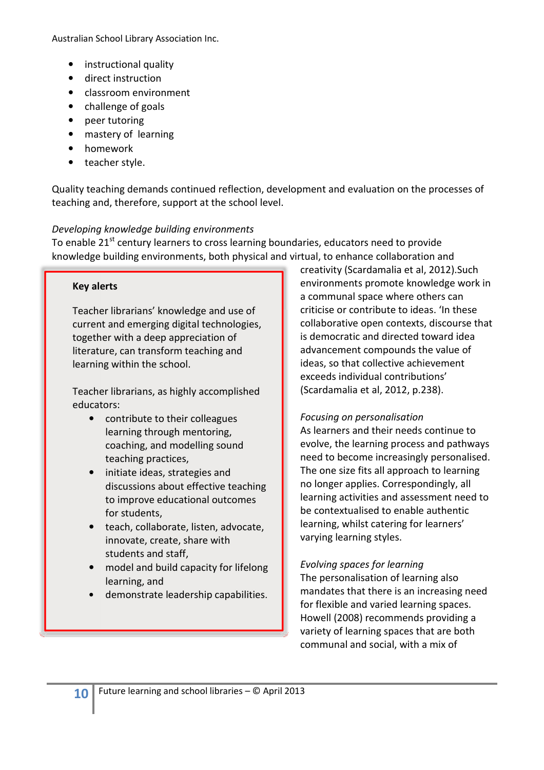- instructional quality
- direct instruction
- classroom environment
- challenge of goals
- peer tutoring
- mastery of learning
- homework
- teacher style.

Quality teaching demands continued reflection, development and evaluation on the processes of teaching and, therefore, support at the school level.

#### Developing knowledge building environments

To enable 21<sup>st</sup> century learners to cross learning boundaries, educators need to provide knowledge building environments, both physical and virtual, to enhance collaboration and

#### Key alerts

Teacher librarians' knowledge and use of current and emerging digital technologies, together with a deep appreciation of literature, can transform teaching and learning within the school.

Teacher librarians, as highly accomplished educators:

- contribute to their colleagues learning through mentoring, coaching, and modelling sound teaching practices,
- initiate ideas, strategies and discussions about effective teaching to improve educational outcomes for students,
- teach, collaborate, listen, advocate, innovate, create, share with students and staff,
- model and build capacity for lifelong learning, and
- demonstrate leadership capabilities.

creativity (Scardamalia et al, 2012).Such environments promote knowledge work in a communal space where others can criticise or contribute to ideas. 'In these collaborative open contexts, discourse that is democratic and directed toward idea advancement compounds the value of ideas, so that collective achievement exceeds individual contributions' (Scardamalia et al, 2012, p.238).

#### Focusing on personalisation

As learners and their needs continue to evolve, the learning process and pathways need to become increasingly personalised. The one size fits all approach to learning no longer applies. Correspondingly, all learning activities and assessment need to be contextualised to enable authentic learning, whilst catering for learners' varying learning styles.

Evolving spaces for learning The personalisation of learning also mandates that there is an increasing need for flexible and varied learning spaces. Howell (2008) recommends providing a variety of learning spaces that are both communal and social, with a mix of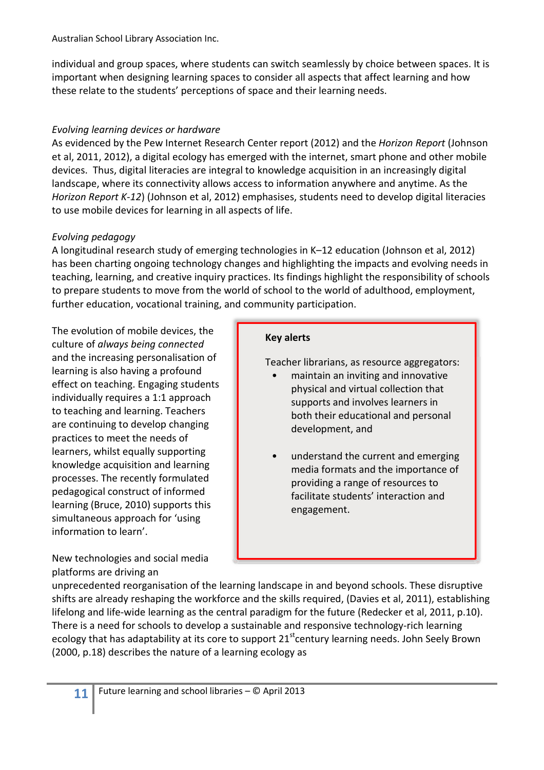individual and group spaces, where students can switch seamlessly by choice between spaces. It is important when designing learning spaces to consider all aspects that affect learning and how these relate to the students' perceptions of space and their learning needs.

# Evolving learning devices or hardware

As evidenced by the Pew Internet Research Center report (2012) and the Horizon Report (Johnson et al, 2011, 2012), a digital ecology has emerged with the internet, smart phone and other mobile devices. Thus, digital literacies are integral to knowledge acquisition in an increasingly digital landscape, where its connectivity allows access to information anywhere and anytime. As the Horizon Report K-12) (Johnson et al, 2012) emphasises, students need to develop digital literacies to use mobile devices for learning in all aspects of life.

# Evolving pedagogy

A longitudinal research study of emerging technologies in K–12 education (Johnson et al, 2012) has been charting ongoing technology changes and highlighting the impacts and evolving needs in teaching, learning, and creative inquiry practices. Its findings highlight the responsibility of schools to prepare students to move from the world of school to the world of adulthood, employment, further education, vocational training, and community participation.

The evolution of mobile devices, the culture of always being connected and the increasing personalisation of learning is also having a profound effect on teaching. Engaging students individually requires a 1:1 approach to teaching and learning. Teachers are continuing to develop changing practices to meet the needs of learners, whilst equally supporting knowledge acquisition and learning processes. The recently formulated pedagogical construct of informed learning (Bruce, 2010) supports this simultaneous approach for 'using information to learn'.

New technologies and social media platforms are driving an

# Key alerts

Teacher librarians, as resource aggregators:

- maintain an inviting and innovative physical and virtual collection that supports and involves learners in both their educational and personal development, and
- understand the current and emerging media formats and the importance of providing a range of resources to facilitate students' interaction and engagement.

unprecedented reorganisation of the learning landscape in and beyond schools. These disruptive shifts are already reshaping the workforce and the skills required, (Davies et al, 2011), establishing lifelong and life-wide learning as the central paradigm for the future (Redecker et al, 2011, p.10). There is a need for schools to develop a sustainable and responsive technology-rich learning ecology that has adaptability at its core to support 21<sup>st</sup>century learning needs. John Seely Brown (2000, p.18) describes the nature of a learning ecology as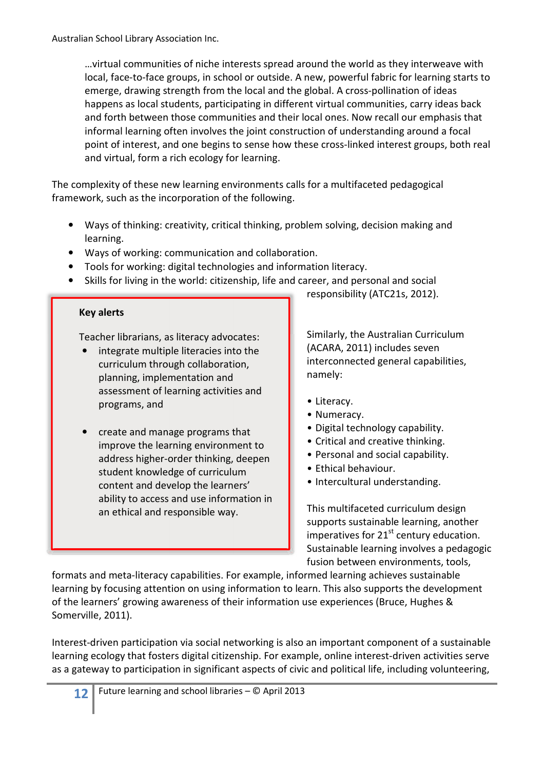…virtual communities of niche interests spread around the world as they interweave with local, face-to-face groups, in school or outside. A new, powerful fabric for learning starts to emerge, drawing strength from the local and the global. A cross-pollination of ideas happens as local students, participating in different virtual communities, carry ideas back and forth between those communities and their local ones. Now recall our emphasis that informal learning often involves the joint construction of understanding around a focal point of interest, and one begins to sense how these cross-linked interest groups, both real and virtual, form a rich ecology for learning.

The complexity of these new learning environments calls for a multifaceted pedagogical framework, such as the incorporation of the following.

- Ways of thinking: creativity, critical thinking, problem solving, decision making and learning.
- Ways of working: communication and collaboration.
- Tools for working: digital technologies and information literacy.
- Skills for living in the world: citizenship, life and career, and personal and social

#### Key alerts

Teacher librarians, as literacy advocates:

- integrate multiple literacies into the curriculum through collaboration, planning, implementation and assessment of learning activities and programs, and
- create and manage programs that improve the learning environment to address higher-order thinking, deepen student knowledge of curriculum content and develop the learners' ability to access and use information in an ethical and responsible way.

responsibility (ATC21s, 2012).

Similarly, the Australian Curriculum (ACARA, 2011) includes seven interconnected general capabilities, namely:

- Literacy.
- Numeracy.
- Digital technology capability.
- Critical and creative thinking.
- Personal and social capability.
- Ethical behaviour.
- Intercultural understanding.

This multifaceted curriculum design supports sustainable learning, another imperatives for  $21<sup>st</sup>$  century education. Sustainable learning involves a pedagogic fusion between environments, tools,

formats and meta-literacy capabilities. For example, informed learning achieves sustainable learning by focusing attention on using information to learn. This also supports the development of the learners' growing awareness of their information use experiences (Bruce, Hughes & Somerville, 2011).

Interest-driven participation via social networking is also an important component of a sustainable learning ecology that fosters digital citizenship. For example, online interest-driven activities serve as a gateway to participation in significant aspects of civic and political life, including volunteering,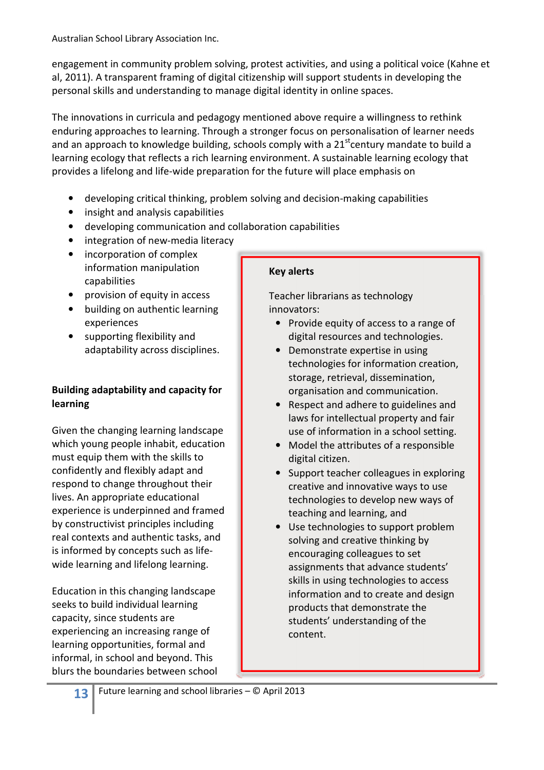engagement in community problem solving, protest activities, and using a political voice (Kahne et al, 2011). A transparent framing of digital citizenship will support students in developing the personal skills and understanding to manage digital identity in online spaces.

The innovations in curricula and pedagogy mentioned above require a willingness to rethink enduring approaches to learning. Through a stronger focus on personalisation of learner needs and an approach to knowledge building, schools comply with a  $21<sup>st</sup>$ century mandate to build a learning ecology that reflects a rich learning environment. A sustainable learning ecology that provides a lifelong and life-wide preparation for the future will place emphasis on

- developing critical thinking, problem solving and decision-making capabilities
- insight and analysis capabilities
- developing communication and collaboration capabilities
- integration of new-media literacy
- incorporation of complex information manipulation capabilities
- provision of equity in access
- building on authentic learning experiences
- supporting flexibility and adaptability across disciplines.

# Building adaptability and capacity for learning

Given the changing learning landscape which young people inhabit, education must equip them with the skills to confidently and flexibly adapt and respond to change throughout their lives. An appropriate educational experience is underpinned and framed by constructivist principles including real contexts and authentic tasks, and is informed by concepts such as lifewide learning and lifelong learning.

Education in this changing landscape seeks to build individual learning capacity, since students are experiencing an increasing range of learning opportunities, formal and informal, in school and beyond. This blurs the boundaries between school

# Key alerts

Teacher librarians as technology innovators:

- Provide equity of access to a range of digital resources and technologies.
- Demonstrate expertise in using technologies for information creation, storage, retrieval, dissemination, organisation and communication.
- Respect and adhere to guidelines and laws for intellectual property and fair use of information in a school setting.
- Model the attributes of a responsible digital citizen.
- Support teacher colleagues in exploring creative and innovative ways to use technologies to develop new ways of teaching and learning, and
- Use technologies to support problem solving and creative thinking by encouraging colleagues to set assignments that advance students' skills in using technologies to access information and to create and design products that demonstrate the students' understanding of the content.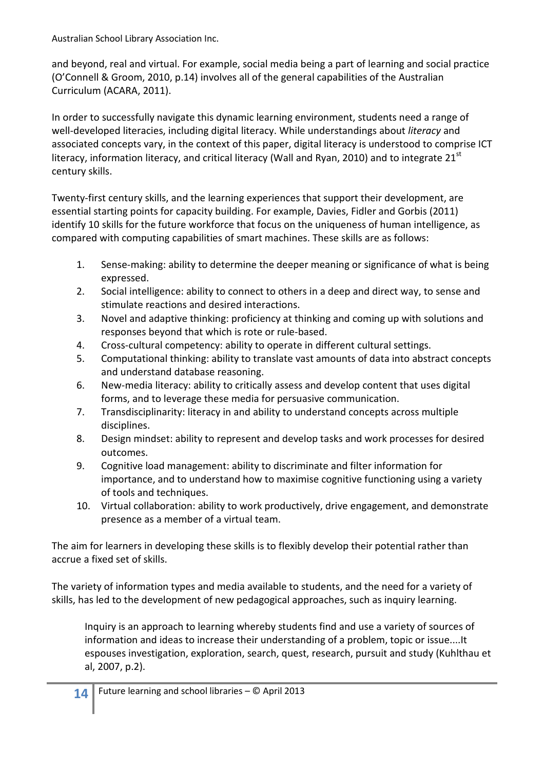and beyond, real and virtual. For example, social media being a part of learning and social practice (O'Connell & Groom, 2010, p.14) involves all of the general capabilities of the Australian Curriculum (ACARA, 2011).

In order to successfully navigate this dynamic learning environment, students need a range of well-developed literacies, including digital literacy. While understandings about literacy and associated concepts vary, in the context of this paper, digital literacy is understood to comprise ICT literacy, information literacy, and critical literacy (Wall and Ryan, 2010) and to integrate  $21^{st}$ century skills.

Twenty-first century skills, and the learning experiences that support their development, are essential starting points for capacity building. For example, Davies, Fidler and Gorbis (2011) identify 10 skills for the future workforce that focus on the uniqueness of human intelligence, as compared with computing capabilities of smart machines. These skills are as follows:

- 1. Sense-making: ability to determine the deeper meaning or significance of what is being expressed.
- 2. Social intelligence: ability to connect to others in a deep and direct way, to sense and stimulate reactions and desired interactions.
- 3. Novel and adaptive thinking: proficiency at thinking and coming up with solutions and responses beyond that which is rote or rule-based.
- 4. Cross-cultural competency: ability to operate in different cultural settings.
- 5. Computational thinking: ability to translate vast amounts of data into abstract concepts and understand database reasoning.
- 6. New-media literacy: ability to critically assess and develop content that uses digital forms, and to leverage these media for persuasive communication.
- 7. Transdisciplinarity: literacy in and ability to understand concepts across multiple disciplines.
- 8. Design mindset: ability to represent and develop tasks and work processes for desired outcomes.
- 9. Cognitive load management: ability to discriminate and filter information for importance, and to understand how to maximise cognitive functioning using a variety of tools and techniques.
- 10. Virtual collaboration: ability to work productively, drive engagement, and demonstrate presence as a member of a virtual team.

The aim for learners in developing these skills is to flexibly develop their potential rather than accrue a fixed set of skills.

The variety of information types and media available to students, and the need for a variety of skills, has led to the development of new pedagogical approaches, such as inquiry learning.

Inquiry is an approach to learning whereby students find and use a variety of sources of information and ideas to increase their understanding of a problem, topic or issue....It espouses investigation, exploration, search, quest, research, pursuit and study (Kuhlthau et al, 2007, p.2).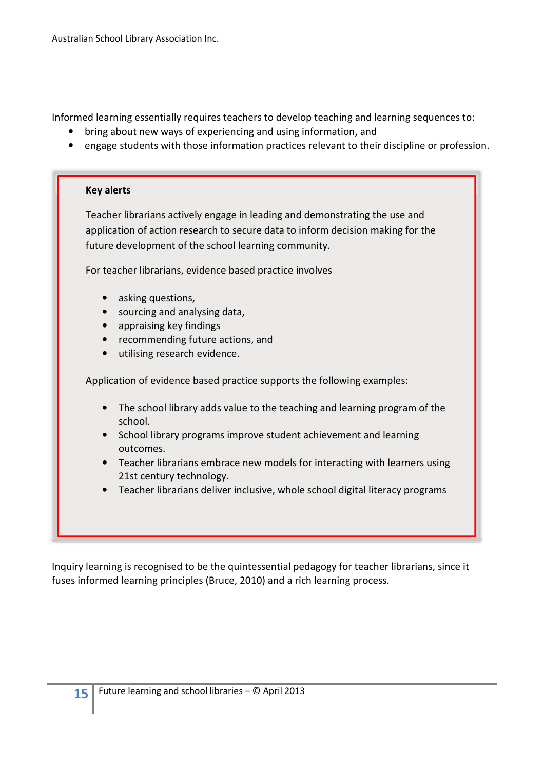Informed learning essentially requires teachers to develop teaching and learning sequences to:

- bring about new ways of experiencing and using information, and
- engage students with those information practices relevant to their discipline or profession.

#### Key alerts

Teacher librarians actively engage in leading and demonstrating the use and application of action research to secure data to inform decision making for the future development of the school learning community.

For teacher librarians, evidence based practice involves

- asking questions,
- sourcing and analysing data,
- appraising key findings
- recommending future actions, and
- utilising research evidence.

Application of evidence based practice supports the following examples:

- The school library adds value to the teaching and learning program of the school.
- School library programs improve student achievement and learning outcomes.
- Teacher librarians embrace new models for interacting with learners using 21st century technology.
- Teacher librarians deliver inclusive, whole school digital literacy programs

Inquiry learning is recognised to be the quintessential pedagogy for teacher librarians, since it fuses informed learning principles (Bruce, 2010) and a rich learning process.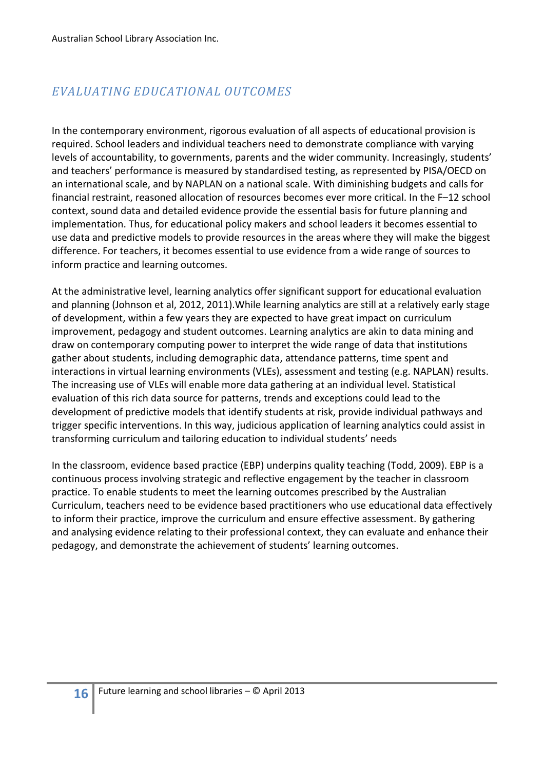# EVALUATING EDUCATIONAL OUTCOMES

In the contemporary environment, rigorous evaluation of all aspects of educational provision is required. School leaders and individual teachers need to demonstrate compliance with varying levels of accountability, to governments, parents and the wider community. Increasingly, students' and teachers' performance is measured by standardised testing, as represented by PISA/OECD on an international scale, and by NAPLAN on a national scale. With diminishing budgets and calls for financial restraint, reasoned allocation of resources becomes ever more critical. In the F–12 school context, sound data and detailed evidence provide the essential basis for future planning and implementation. Thus, for educational policy makers and school leaders it becomes essential to use data and predictive models to provide resources in the areas where they will make the biggest difference. For teachers, it becomes essential to use evidence from a wide range of sources to inform practice and learning outcomes.

At the administrative level, learning analytics offer significant support for educational evaluation and planning (Johnson et al, 2012, 2011).While learning analytics are still at a relatively early stage of development, within a few years they are expected to have great impact on curriculum improvement, pedagogy and student outcomes. Learning analytics are akin to data mining and draw on contemporary computing power to interpret the wide range of data that institutions gather about students, including demographic data, attendance patterns, time spent and interactions in virtual learning environments (VLEs), assessment and testing (e.g. NAPLAN) results. The increasing use of VLEs will enable more data gathering at an individual level. Statistical evaluation of this rich data source for patterns, trends and exceptions could lead to the development of predictive models that identify students at risk, provide individual pathways and trigger specific interventions. In this way, judicious application of learning analytics could assist in transforming curriculum and tailoring education to individual students' needs

In the classroom, evidence based practice (EBP) underpins quality teaching (Todd, 2009). EBP is a continuous process involving strategic and reflective engagement by the teacher in classroom practice. To enable students to meet the learning outcomes prescribed by the Australian Curriculum, teachers need to be evidence based practitioners who use educational data effectively to inform their practice, improve the curriculum and ensure effective assessment. By gathering and analysing evidence relating to their professional context, they can evaluate and enhance their pedagogy, and demonstrate the achievement of students' learning outcomes.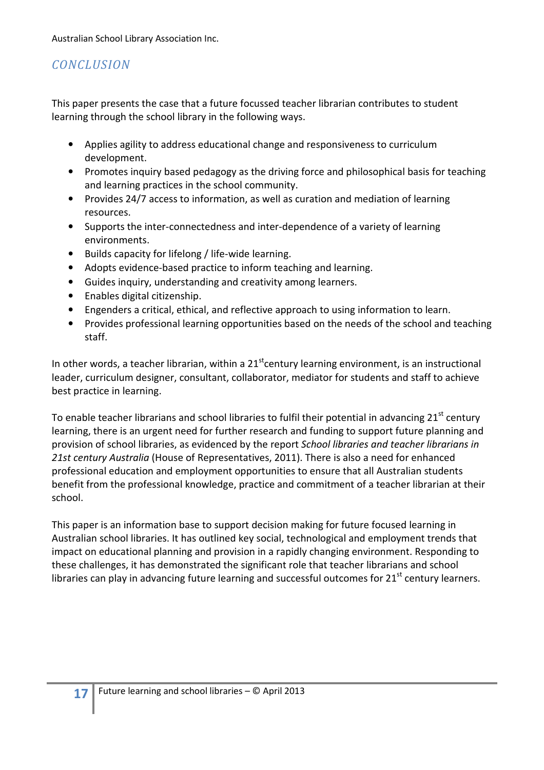# **CONCLUSION**

This paper presents the case that a future focussed teacher librarian contributes to student learning through the school library in the following ways.

- Applies agility to address educational change and responsiveness to curriculum development.
- Promotes inquiry based pedagogy as the driving force and philosophical basis for teaching and learning practices in the school community.
- Provides 24/7 access to information, as well as curation and mediation of learning resources.
- Supports the inter-connectedness and inter-dependence of a variety of learning environments.
- Builds capacity for lifelong / life-wide learning.
- Adopts evidence-based practice to inform teaching and learning.
- Guides inquiry, understanding and creativity among learners.
- Enables digital citizenship.
- Engenders a critical, ethical, and reflective approach to using information to learn.
- Provides professional learning opportunities based on the needs of the school and teaching staff.

In other words, a teacher librarian, within a  $21<sup>st</sup>$ century learning environment, is an instructional leader, curriculum designer, consultant, collaborator, mediator for students and staff to achieve best practice in learning.

To enable teacher librarians and school libraries to fulfil their potential in advancing  $21<sup>st</sup>$  century learning, there is an urgent need for further research and funding to support future planning and provision of school libraries, as evidenced by the report School libraries and teacher librarians in 21st century Australia (House of Representatives, 2011). There is also a need for enhanced professional education and employment opportunities to ensure that all Australian students benefit from the professional knowledge, practice and commitment of a teacher librarian at their school.

This paper is an information base to support decision making for future focused learning in Australian school libraries. It has outlined key social, technological and employment trends that impact on educational planning and provision in a rapidly changing environment. Responding to these challenges, it has demonstrated the significant role that teacher librarians and school libraries can play in advancing future learning and successful outcomes for  $21<sup>st</sup>$  century learners.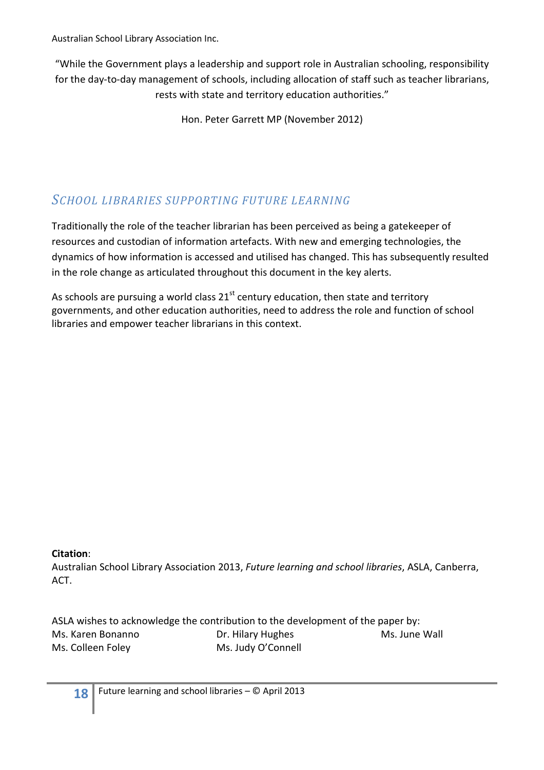"While the Government plays a leadership and support role in Australian schooling, responsibility for the day-to-day management of schools, including allocation of staff such as teacher librarians, rests with state and territory education authorities."

Hon. Peter Garrett MP (November 2012)

# SCHOOL LIBRARIES SUPPORTING FUTURE LEARNING

Traditionally the role of the teacher librarian has been perceived as being a gatekeeper of resources and custodian of information artefacts. With new and emerging technologies, the dynamics of how information is accessed and utilised has changed. This has subsequently resulted in the role change as articulated throughout this document in the key alerts.

As schools are pursuing a world class  $21^{st}$  century education, then state and territory governments, and other education authorities, need to address the role and function of school libraries and empower teacher librarians in this context.

#### Citation:

Australian School Library Association 2013, Future learning and school libraries, ASLA, Canberra, ACT.

ASLA wishes to acknowledge the contribution to the development of the paper by: Ms. Karen Bonanno **Dr. Hilary Hughes** Ms. June Wall Ms. Colleen Foley Ms. Judy O'Connell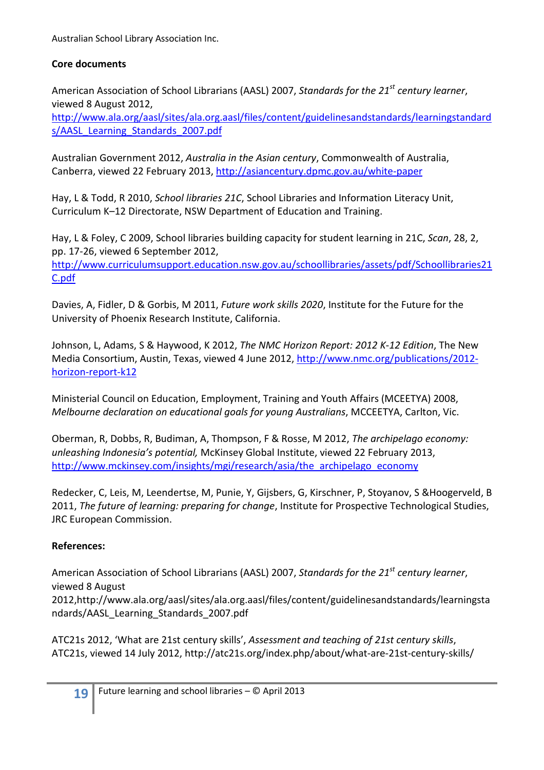#### Core documents

American Association of School Librarians (AASL) 2007, Standards for the 21<sup>st</sup> century learner. viewed 8 August 2012,

http://www.ala.org/aasl/sites/ala.org.aasl/files/content/guidelinesandstandards/learningstandard s/AASL\_Learning\_Standards\_2007.pdf

Australian Government 2012, Australia in the Asian century, Commonwealth of Australia, Canberra, viewed 22 February 2013, http://asiancentury.dpmc.gov.au/white-paper

Hay, L & Todd, R 2010, School libraries 21C, School Libraries and Information Literacy Unit, Curriculum K–12 Directorate, NSW Department of Education and Training.

Hay, L & Foley, C 2009, School libraries building capacity for student learning in 21C, Scan, 28, 2, pp. 17-26, viewed 6 September 2012, http://www.curriculumsupport.education.nsw.gov.au/schoollibraries/assets/pdf/Schoollibraries21 C.pdf

Davies, A, Fidler, D & Gorbis, M 2011, Future work skills 2020, Institute for the Future for the University of Phoenix Research Institute, California.

Johnson, L, Adams, S & Haywood, K 2012, The NMC Horizon Report: 2012 K-12 Edition, The New Media Consortium, Austin, Texas, viewed 4 June 2012, http://www.nmc.org/publications/2012horizon-report-k12

Ministerial Council on Education, Employment, Training and Youth Affairs (MCEETYA) 2008, Melbourne declaration on educational goals for young Australians, MCCEETYA, Carlton, Vic.

Oberman, R, Dobbs, R, Budiman, A, Thompson, F & Rosse, M 2012, The archipelago economy: unleashing Indonesia's potential, McKinsey Global Institute, viewed 22 February 2013, http://www.mckinsey.com/insights/mgi/research/asia/the\_archipelago\_economy

Redecker, C, Leis, M, Leendertse, M, Punie, Y, Gijsbers, G, Kirschner, P, Stoyanov, S &Hoogerveld, B 2011, The future of learning: preparing for change, Institute for Prospective Technological Studies, JRC European Commission.

# References:

American Association of School Librarians (AASL) 2007, Standards for the 21<sup>st</sup> century learner, viewed 8 August

2012,http://www.ala.org/aasl/sites/ala.org.aasl/files/content/guidelinesandstandards/learningsta ndards/AASL\_Learning\_Standards\_2007.pdf

ATC21s 2012, 'What are 21st century skills', Assessment and teaching of 21st century skills, ATC21s, viewed 14 July 2012, http://atc21s.org/index.php/about/what-are-21st-century-skills/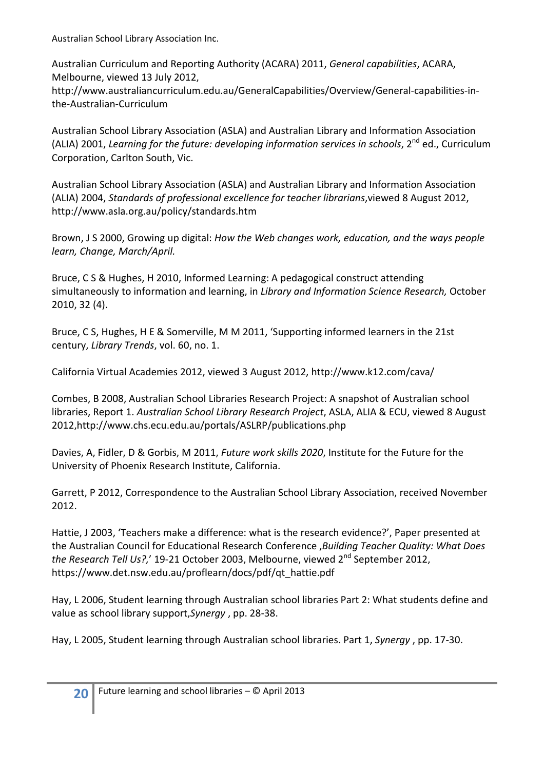Australian Curriculum and Reporting Authority (ACARA) 2011, General capabilities, ACARA, Melbourne, viewed 13 July 2012,

http://www.australiancurriculum.edu.au/GeneralCapabilities/Overview/General-capabilities-inthe-Australian-Curriculum

Australian School Library Association (ASLA) and Australian Library and Information Association (ALIA) 2001, Learning for the future: developing information services in schools,  $2^{nd}$  ed., Curriculum Corporation, Carlton South, Vic.

Australian School Library Association (ASLA) and Australian Library and Information Association (ALIA) 2004, Standards of professional excellence for teacher librarians,viewed 8 August 2012, http://www.asla.org.au/policy/standards.htm

Brown, J S 2000, Growing up digital: How the Web changes work, education, and the ways people learn, Change, March/April.

Bruce, C S & Hughes, H 2010, Informed Learning: A pedagogical construct attending simultaneously to information and learning, in Library and Information Science Research, October 2010, 32 (4).

Bruce, C S, Hughes, H E & Somerville, M M 2011, 'Supporting informed learners in the 21st century, Library Trends, vol. 60, no. 1.

California Virtual Academies 2012, viewed 3 August 2012, http://www.k12.com/cava/

Combes, B 2008, Australian School Libraries Research Project: A snapshot of Australian school libraries, Report 1. Australian School Library Research Project, ASLA, ALIA & ECU, viewed 8 August 2012,http://www.chs.ecu.edu.au/portals/ASLRP/publications.php

Davies, A, Fidler, D & Gorbis, M 2011, Future work skills 2020, Institute for the Future for the University of Phoenix Research Institute, California.

Garrett, P 2012, Correspondence to the Australian School Library Association, received November 2012.

Hattie, J 2003, 'Teachers make a difference: what is the research evidence?', Paper presented at the Australian Council for Educational Research Conference ,Building Teacher Quality: What Does the Research Tell Us?,' 19-21 October 2003, Melbourne, viewed 2<sup>nd</sup> September 2012, https://www.det.nsw.edu.au/proflearn/docs/pdf/qt\_hattie.pdf

Hay, L 2006, Student learning through Australian school libraries Part 2: What students define and value as school library support,Synergy , pp. 28-38.

Hay, L 2005, Student learning through Australian school libraries. Part 1, Synergy , pp. 17-30.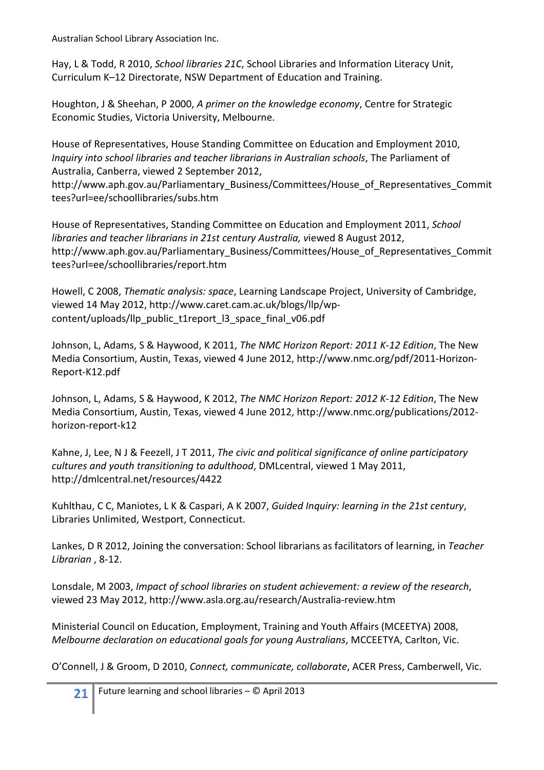Hay, L & Todd, R 2010, School libraries 21C, School Libraries and Information Literacy Unit, Curriculum K–12 Directorate, NSW Department of Education and Training.

Houghton, J & Sheehan, P 2000, A primer on the knowledge economy, Centre for Strategic Economic Studies, Victoria University, Melbourne.

House of Representatives, House Standing Committee on Education and Employment 2010, Inquiry into school libraries and teacher librarians in Australian schools, The Parliament of Australia, Canberra, viewed 2 September 2012,

http://www.aph.gov.au/Parliamentary Business/Committees/House of Representatives Commit tees?url=ee/schoollibraries/subs.htm

House of Representatives, Standing Committee on Education and Employment 2011, School libraries and teacher librarians in 21st century Australia, viewed 8 August 2012, http://www.aph.gov.au/Parliamentary\_Business/Committees/House\_of\_Representatives\_Commit tees?url=ee/schoollibraries/report.htm

Howell, C 2008, Thematic analysis: space, Learning Landscape Project, University of Cambridge, viewed 14 May 2012, http://www.caret.cam.ac.uk/blogs/llp/wpcontent/uploads/llp\_public\_t1report\_l3\_space\_final\_v06.pdf

Johnson, L, Adams, S & Haywood, K 2011, The NMC Horizon Report: 2011 K-12 Edition, The New Media Consortium, Austin, Texas, viewed 4 June 2012, http://www.nmc.org/pdf/2011-Horizon-Report-K12.pdf

Johnson, L, Adams, S & Haywood, K 2012, The NMC Horizon Report: 2012 K-12 Edition, The New Media Consortium, Austin, Texas, viewed 4 June 2012, http://www.nmc.org/publications/2012 horizon-report-k12

Kahne, J, Lee, N J & Feezell, J T 2011, The civic and political significance of online participatory cultures and youth transitioning to adulthood, DMLcentral, viewed 1 May 2011, http://dmlcentral.net/resources/4422

Kuhlthau, C C, Maniotes, L K & Caspari, A K 2007, Guided Inquiry: learning in the 21st century, Libraries Unlimited, Westport, Connecticut.

Lankes, D R 2012, Joining the conversation: School librarians as facilitators of learning, in Teacher Librarian , 8-12.

Lonsdale, M 2003, Impact of school libraries on student achievement: a review of the research, viewed 23 May 2012, http://www.asla.org.au/research/Australia-review.htm

Ministerial Council on Education, Employment, Training and Youth Affairs (MCEETYA) 2008, Melbourne declaration on educational goals for young Australians, MCCEETYA, Carlton, Vic.

O'Connell, J & Groom, D 2010, Connect, communicate, collaborate, ACER Press, Camberwell, Vic.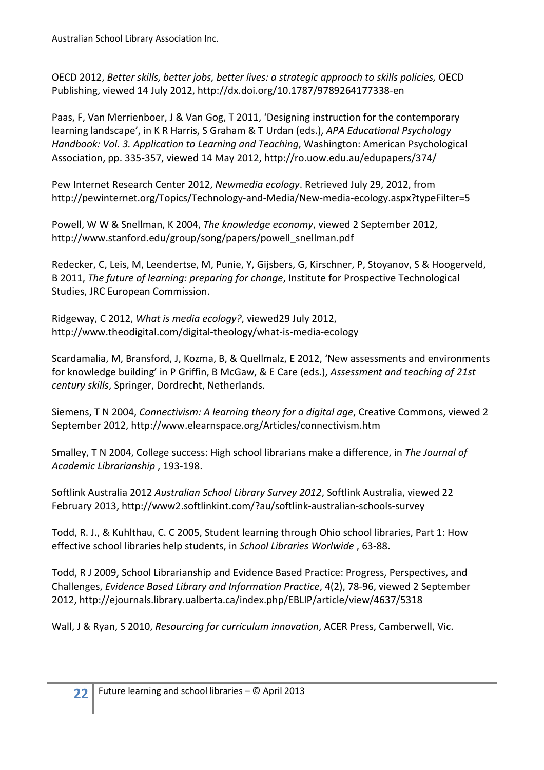OECD 2012, Better skills, better jobs, better lives: a strategic approach to skills policies, OECD Publishing, viewed 14 July 2012, http://dx.doi.org/10.1787/9789264177338-en

Paas, F, Van Merrienboer, J & Van Gog, T 2011, 'Designing instruction for the contemporary learning landscape', in K R Harris, S Graham & T Urdan (eds.), APA Educational Psychology Handbook: Vol. 3. Application to Learning and Teaching, Washington: American Psychological Association, pp. 335-357, viewed 14 May 2012, http://ro.uow.edu.au/edupapers/374/

Pew Internet Research Center 2012, Newmedia ecology. Retrieved July 29, 2012, from http://pewinternet.org/Topics/Technology-and-Media/New-media-ecology.aspx?typeFilter=5

Powell, W W & Snellman, K 2004, The knowledge economy, viewed 2 September 2012, http://www.stanford.edu/group/song/papers/powell\_snellman.pdf

Redecker, C, Leis, M, Leendertse, M, Punie, Y, Gijsbers, G, Kirschner, P, Stoyanov, S & Hoogerveld, B 2011, The future of learning: preparing for change, Institute for Prospective Technological Studies, JRC European Commission.

Ridgeway, C 2012, What is media ecology?, viewed29 July 2012, http://www.theodigital.com/digital-theology/what-is-media-ecology

Scardamalia, M, Bransford, J, Kozma, B, & Quellmalz, E 2012, 'New assessments and environments for knowledge building' in P Griffin, B McGaw, & E Care (eds.), Assessment and teaching of 21st century skills, Springer, Dordrecht, Netherlands.

Siemens, T N 2004, Connectivism: A learning theory for a digital age, Creative Commons, viewed 2 September 2012, http://www.elearnspace.org/Articles/connectivism.htm

Smalley, T N 2004, College success: High school librarians make a difference, in The Journal of Academic Librarianship , 193-198.

Softlink Australia 2012 Australian School Library Survey 2012, Softlink Australia, viewed 22 February 2013, http://www2.softlinkint.com/?au/softlink-australian-schools-survey

Todd, R. J., & Kuhlthau, C. C 2005, Student learning through Ohio school libraries, Part 1: How effective school libraries help students, in School Libraries Worlwide , 63-88.

Todd, R J 2009, School Librarianship and Evidence Based Practice: Progress, Perspectives, and Challenges, Evidence Based Library and Information Practice, 4(2), 78-96, viewed 2 September 2012, http://ejournals.library.ualberta.ca/index.php/EBLIP/article/view/4637/5318

Wall, J & Ryan, S 2010, Resourcing for curriculum innovation, ACER Press, Camberwell, Vic.